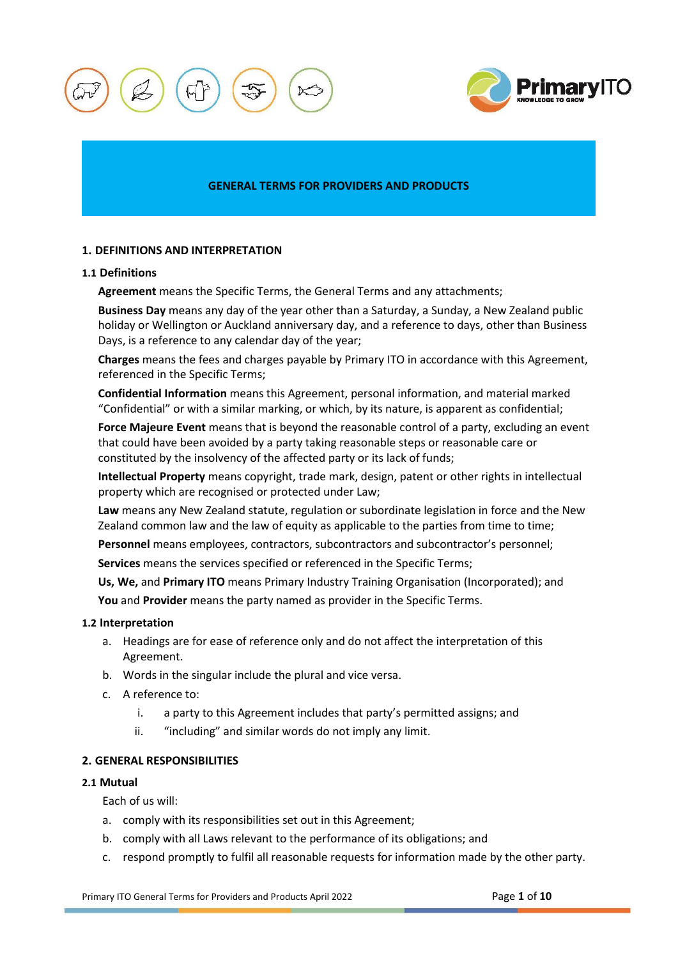



## **GENERAL TERMS FOR PROVIDERS AND PRODUCTS**

# **1. DEFINITIONS AND INTERPRETATION**

### **1.1 Definitions**

**Agreement** means the Specific Terms, the General Terms and any attachments;

**Business Day** means any day of the year other than a Saturday, a Sunday, a New Zealand public holiday or Wellington or Auckland anniversary day, and a reference to days, other than Business Days, is a reference to any calendar day of the year;

**Charges** means the fees and charges payable by Primary ITO in accordance with this Agreement, referenced in the Specific Terms;

**Confidential Information** means this Agreement, personal information, and material marked "Confidential" or with a similar marking, or which, by its nature, is apparent as confidential;

**Force Majeure Event** means that is beyond the reasonable control of a party, excluding an event that could have been avoided by a party taking reasonable steps or reasonable care or constituted by the insolvency of the affected party or its lack of funds;

**Intellectual Property** means copyright, trade mark, design, patent or other rights in intellectual property which are recognised or protected under Law;

**Law** means any New Zealand statute, regulation or subordinate legislation in force and the New Zealand common law and the law of equity as applicable to the parties from time to time;

Personnel means employees, contractors, subcontractors and subcontractor's personnel;

**Services** means the services specified or referenced in the Specific Terms;

**Us, We,** and **Primary ITO** means Primary Industry Training Organisation (Incorporated); and

**You** and **Provider** means the party named as provider in the Specific Terms.

## **1.2 Interpretation**

- a. Headings are for ease of reference only and do not affect the interpretation of this Agreement.
- b. Words in the singular include the plural and vice versa.
- c. A reference to:
	- i. a party to this Agreement includes that party's permitted assigns; and
	- ii. "including" and similar words do not imply any limit.

# <span id="page-0-0"></span>**2. GENERAL RESPONSIBILITIES**

## **2.1 Mutual**

Each of us will:

- a. comply with its responsibilities set out in this Agreement;
- b. comply with all Laws relevant to the performance of its obligations; and
- c. respond promptly to fulfil all reasonable requests for information made by the other party.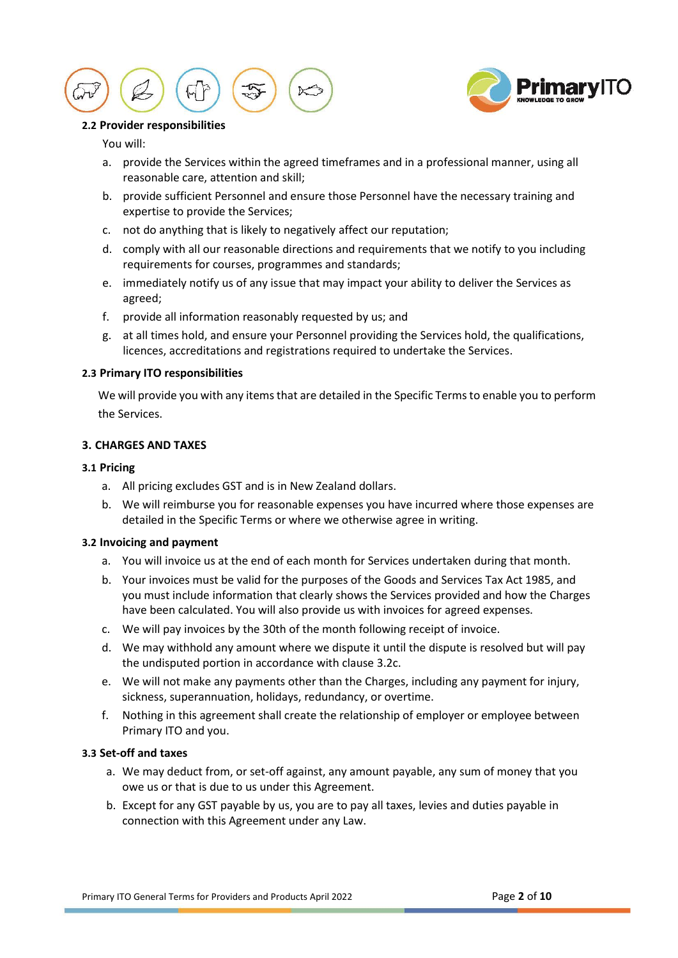



# **2.2 Provider responsibilities**

## You will:

- a. provide the Services within the agreed timeframes and in a professional manner, using all reasonable care, attention and skill;
- b. provide sufficient Personnel and ensure those Personnel have the necessary training and expertise to provide the Services;
- c. not do anything that is likely to negatively affect our reputation;
- d. comply with all our reasonable directions and requirements that we notify to you including requirements for courses, programmes and standards;
- e. immediately notify us of any issue that may impact your ability to deliver the Services as agreed;
- f. provide all information reasonably requested by us; and
- g. at all times hold, and ensure your Personnel providing the Services hold, the qualifications, licences, accreditations and registrations required to undertake the Services.

## **2.3 Primary ITO responsibilities**

We will provide you with any items that are detailed in the Specific Terms to enable you to perform the Services.

# **3. CHARGES AND TAXES**

## **3.1 Pricing**

- a. All pricing excludes GST and is in New Zealand dollars.
- b. We will reimburse you for reasonable expenses you have incurred where those expenses are detailed in the Specific Terms or where we otherwise agree in writing.

# <span id="page-1-0"></span>**3.2 Invoicing and payment**

- a. You will invoice us at the end of each month for Services undertaken during that month.
- b. Your invoices must be valid for the purposes of the Goods and Services Tax Act 1985, and you must include information that clearly shows the Services provided and how the Charges have been calculated. You will also provide us with invoices for agreed expenses.
- c. We will pay invoices by the 30th of the month following receipt of invoice.
- d. We may withhold any amount where we dispute it until the dispute is resolved but will pay the undisputed portion in accordance with clause [3.2c.](#page-1-0)
- e. We will not make any payments other than the Charges, including any payment for injury, sickness, superannuation, holidays, redundancy, or overtime.
- f. Nothing in this agreement shall create the relationship of employer or employee between Primary ITO and you.

## **3.3 Set-off and taxes**

- a. We may deduct from, or set-off against, any amount payable, any sum of money that you owe us or that is due to us under this Agreement.
- b. Except for any GST payable by us, you are to pay all taxes, levies and duties payable in connection with this Agreement under any Law.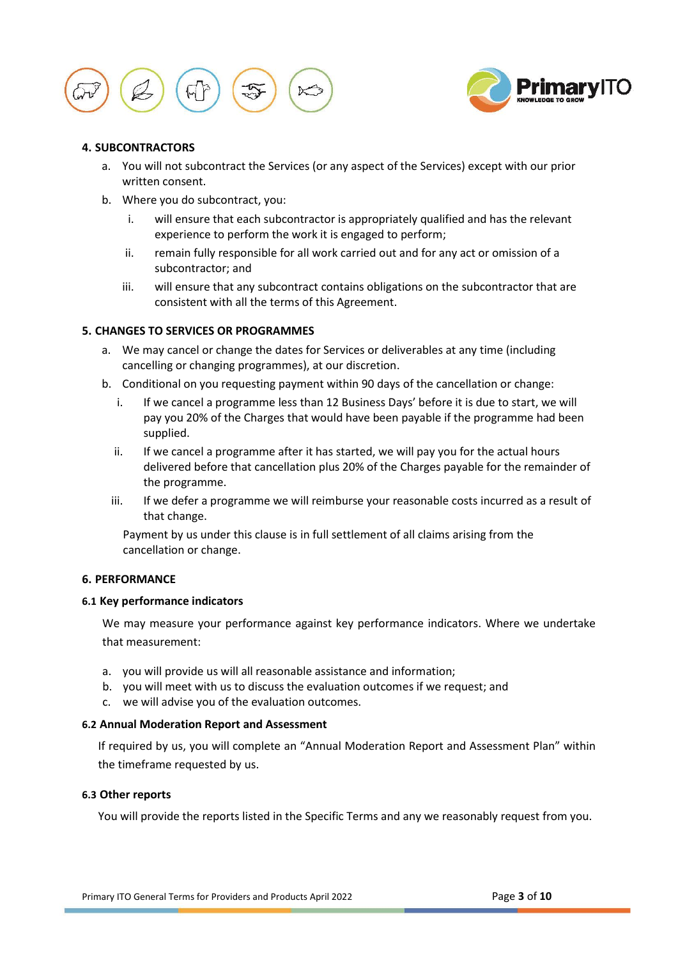



## **4. SUBCONTRACTORS**

- a. You will not subcontract the Services (or any aspect of the Services) except with our prior written consent.
- b. Where you do subcontract, you:
	- i. will ensure that each subcontractor is appropriately qualified and has the relevant experience to perform the work it is engaged to perform;
	- ii. remain fully responsible for all work carried out and for any act or omission of a subcontractor; and
	- iii. will ensure that any subcontract contains obligations on the subcontractor that are consistent with all the terms of this Agreement.

# **5. CHANGES TO SERVICES OR PROGRAMMES**

- a. We may cancel or change the dates for Services or deliverables at any time (including cancelling or changing programmes), at our discretion.
- b. Conditional on you requesting payment within 90 days of the cancellation or change:
	- i. If we cancel a programme less than 12 Business Days' before it is due to start, we will pay you 20% of the Charges that would have been payable if the programme had been supplied.
	- ii. If we cancel a programme after it has started, we will pay you for the actual hours delivered before that cancellation plus 20% of the Charges payable for the remainder of the programme.
	- iii. If we defer a programme we will reimburse your reasonable costs incurred as a result of that change.

Payment by us under this clause is in full settlement of all claims arising from the cancellation or change.

## **6. PERFORMANCE**

# **6.1 Key performance indicators**

We may measure your performance against key performance indicators. Where we undertake that measurement:

- a. you will provide us will all reasonable assistance and information;
- b. you will meet with us to discuss the evaluation outcomes if we request; and
- c. we will advise you of the evaluation outcomes.

### **6.2 Annual Moderation Report and Assessment**

If required by us, you will complete an "Annual Moderation Report and Assessment Plan" within the timeframe requested by us.

### **6.3 Other reports**

You will provide the reports listed in the Specific Terms and any we reasonably request from you.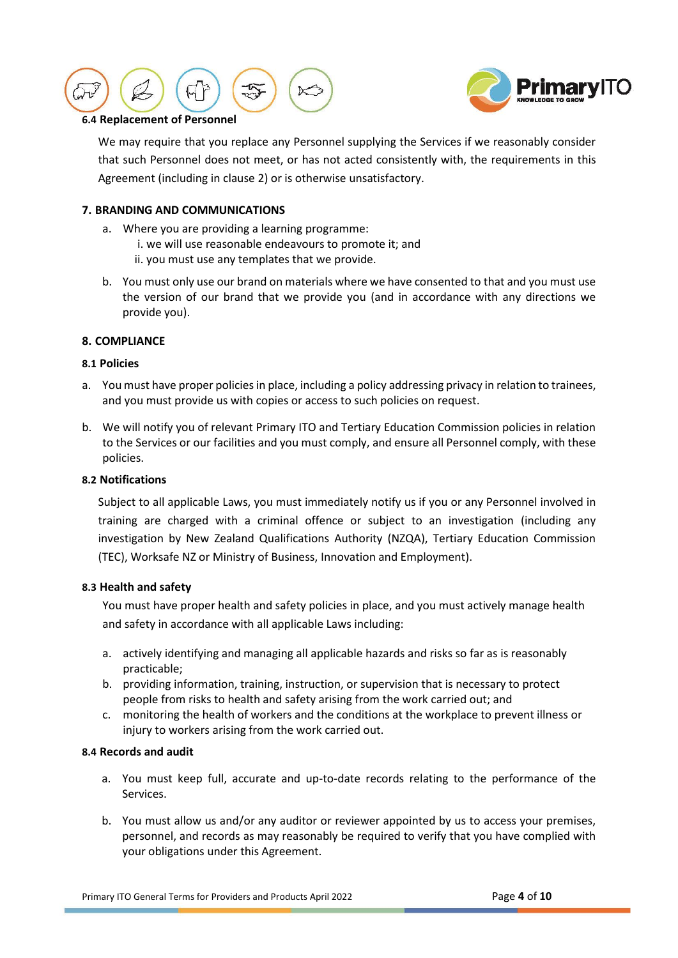



## **6.4 Replacement of Personnel**

We may require that you replace any Personnel supplying the Services if we reasonably consider that such Personnel does not meet, or has not acted consistently with, the requirements in this Agreement (including in clause [2\)](#page-0-0) or is otherwise unsatisfactory.

# **7. BRANDING AND COMMUNICATIONS**

- a. Where you are providing a learning programme:
	- i. we will use reasonable endeavours to promote it; and
	- ii. you must use any templates that we provide.
- b. You must only use our brand on materials where we have consented to that and you must use the version of our brand that we provide you (and in accordance with any directions we provide you).

### **8. COMPLIANCE**

## **8.1 Policies**

- a. You must have proper policies in place, including a policy addressing privacy in relation to trainees, and you must provide us with copies or access to such policies on request.
- b. We will notify you of relevant Primary ITO and Tertiary Education Commission policies in relation to the Services or our facilities and you must comply, and ensure all Personnel comply, with these policies.

# **8.2 Notifications**

Subject to all applicable Laws, you must immediately notify us if you or any Personnel involved in training are charged with a criminal offence or subject to an investigation (including any investigation by New Zealand Qualifications Authority (NZQA), Tertiary Education Commission (TEC), Worksafe NZ or Ministry of Business, Innovation and Employment).

### <span id="page-3-0"></span>**8.3 Health and safety**

You must have proper health and safety policies in place, and you must actively manage health and safety in accordance with all applicable Laws including:

- a. actively identifying and managing all applicable hazards and risks so far as is reasonably practicable;
- b. providing information, training, instruction, or supervision that is necessary to protect people from risks to health and safety arising from the work carried out; and
- c. monitoring the health of workers and the conditions at the workplace to prevent illness or injury to workers arising from the work carried out.

### **8.4 Records and audit**

- a. You must keep full, accurate and up-to-date records relating to the performance of the Services.
- b. You must allow us and/or any auditor or reviewer appointed by us to access your premises, personnel, and records as may reasonably be required to verify that you have complied with your obligations under this Agreement.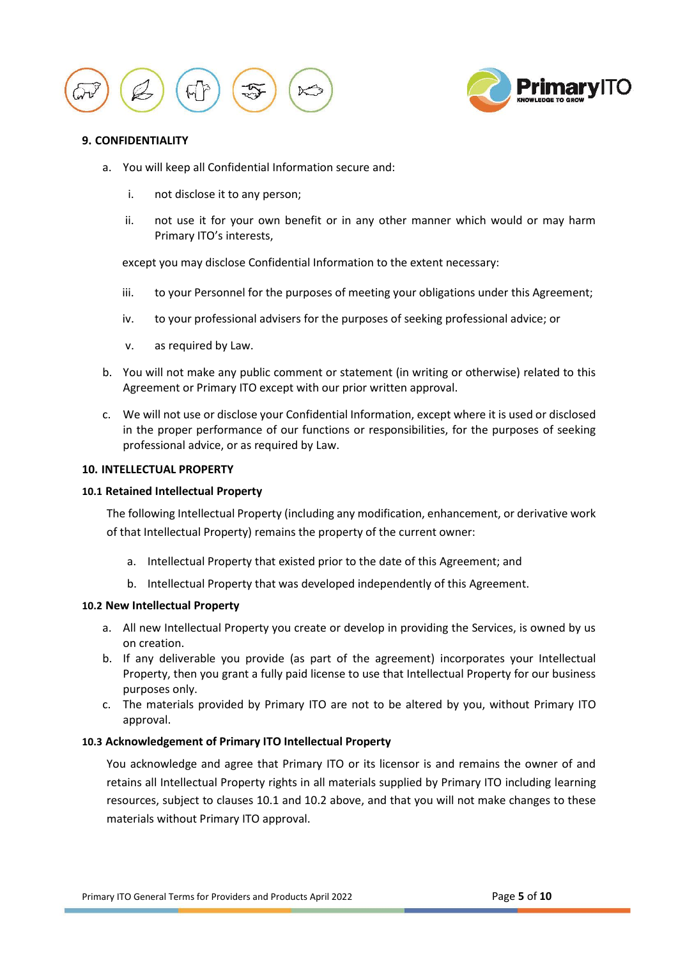



## <span id="page-4-0"></span>**9. CONFIDENTIALITY**

- a. You will keep all Confidential Information secure and:
	- i. not disclose it to any person;
	- ii. not use it for your own benefit or in any other manner which would or may harm Primary ITO's interests,

except you may disclose Confidential Information to the extent necessary:

- iii. to your Personnel for the purposes of meeting your obligations under this Agreement;
- iv. to your professional advisers for the purposes of seeking professional advice; or
- v. as required by Law.
- b. You will not make any public comment or statement (in writing or otherwise) related to this Agreement or Primary ITO except with our prior written approval.
- c. We will not use or disclose your Confidential Information, except where it is used or disclosed in the proper performance of our functions or responsibilities, for the purposes of seeking professional advice, or as required by Law.

## <span id="page-4-1"></span>**10. INTELLECTUAL PROPERTY**

### **10.1 Retained Intellectual Property**

The following Intellectual Property (including any modification, enhancement, or derivative work of that Intellectual Property) remains the property of the current owner:

- a. Intellectual Property that existed prior to the date of this Agreement; and
- b. Intellectual Property that was developed independently of this Agreement.

### **10.2 New Intellectual Property**

- a. All new Intellectual Property you create or develop in providing the Services, is owned by us on creation.
- b. If any deliverable you provide (as part of the agreement) incorporates your Intellectual Property, then you grant a fully paid license to use that Intellectual Property for our business purposes only.
- c. The materials provided by Primary ITO are not to be altered by you, without Primary ITO approval.

# **10.3 Acknowledgement of Primary ITO Intellectual Property**

You acknowledge and agree that Primary ITO or its licensor is and remains the owner of and retains all Intellectual Property rights in all materials supplied by Primary ITO including learning resources, subject to clauses 10.1 and 10.2 above, and that you will not make changes to these materials without Primary ITO approval.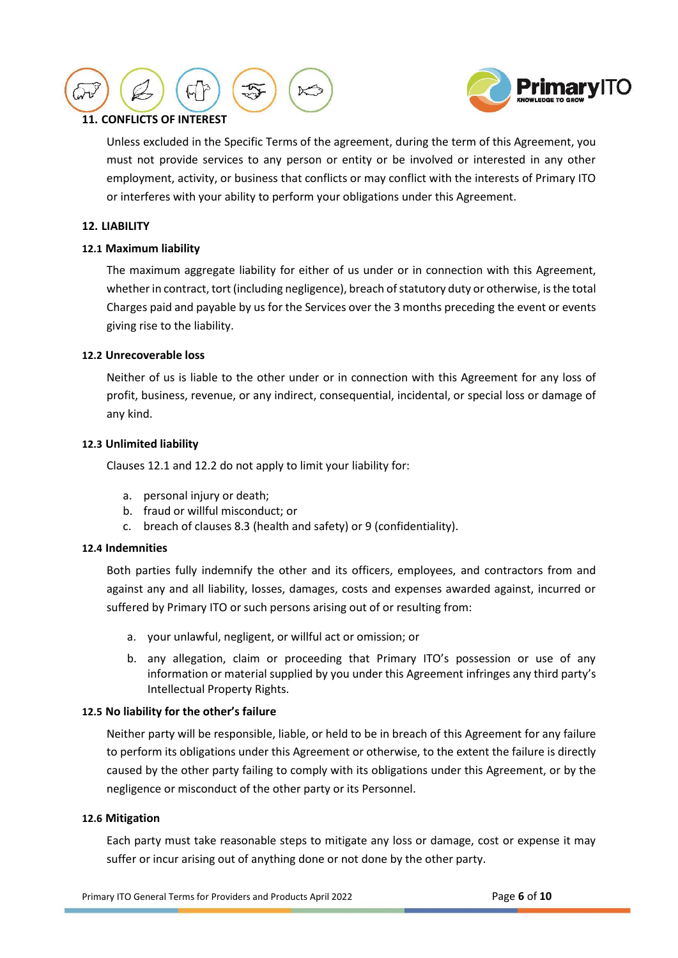



# **11. CONFLICTS OF INTEREST**

Unless excluded in the Specific Terms of the agreement, during the term of this Agreement, you must not provide services to any person or entity or be involved or interested in any other employment, activity, or business that conflicts or may conflict with the interests of Primary ITO or interferes with your ability to perform your obligations under this Agreement.

# <span id="page-5-2"></span>**12. LIABILITY**

## <span id="page-5-0"></span>**12.1 Maximum liability**

The maximum aggregate liability for either of us under or in connection with this Agreement, whether in contract, tort (including negligence), breach of statutory duty or otherwise, is the total Charges paid and payable by us for the Services over the 3 months preceding the event or events giving rise to the liability.

## <span id="page-5-1"></span>**12.2 Unrecoverable loss**

Neither of us is liable to the other under or in connection with this Agreement for any loss of profit, business, revenue, or any indirect, consequential, incidental, or special loss or damage of any kind.

## **12.3 Unlimited liability**

Clause[s 12.1](#page-5-0) and [12.2](#page-5-1) do not apply to limit your liability for:

- a. personal injury or death;
- b. fraud or willful misconduct; or
- c. breach of clauses [8.3](#page-3-0) (health and safety) or [9](#page-4-0) (confidentiality).

# **12.4 Indemnities**

Both parties fully indemnify the other and its officers, employees, and contractors from and against any and all liability, losses, damages, costs and expenses awarded against, incurred or suffered by Primary ITO or such persons arising out of or resulting from:

- a. your unlawful, negligent, or willful act or omission; or
- b. any allegation, claim or proceeding that Primary ITO's possession or use of any information or material supplied by you under this Agreement infringes any third party's Intellectual Property Rights.

### **12.5 No liability for the other's failure**

Neither party will be responsible, liable, or held to be in breach of this Agreement for any failure to perform its obligations under this Agreement or otherwise, to the extent the failure is directly caused by the other party failing to comply with its obligations under this Agreement, or by the negligence or misconduct of the other party or its Personnel.

### **12.6 Mitigation**

Each party must take reasonable steps to mitigate any loss or damage, cost or expense it may suffer or incur arising out of anything done or not done by the other party.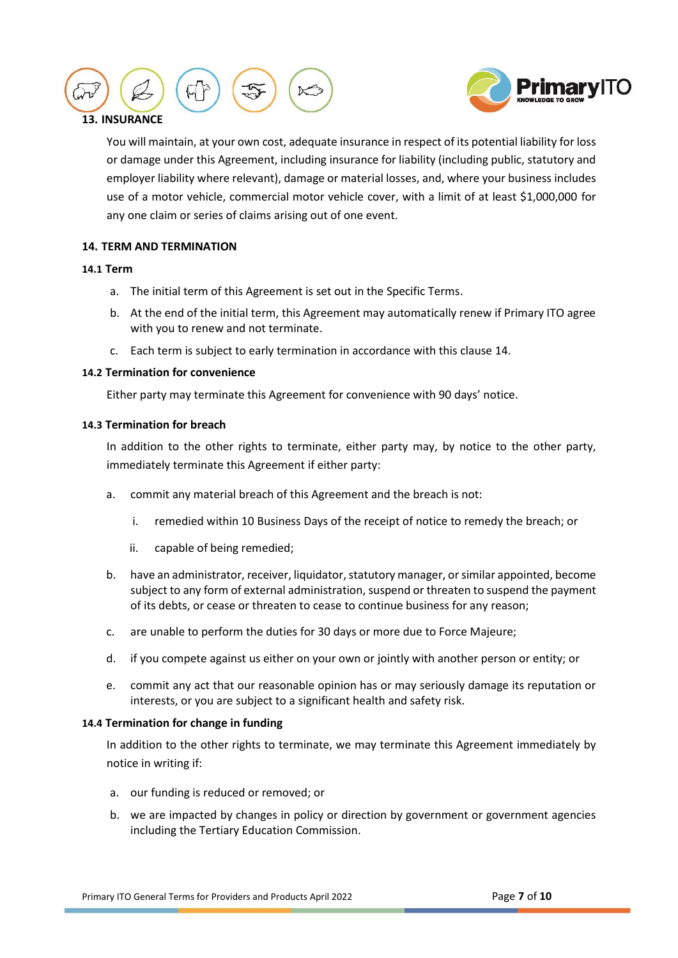



# **13. INSURANCE**

You will maintain, at your own cost, adequate insurance in respect of its potential liability for loss or damage under this Agreement, including insurance for liability (including public, statutory and employer liability where relevant), damage or material losses, and, where your business includes use of a motor vehicle, commercial motor vehicle cover, with a limit of at least \$1,000,000 for any one claim or series of claims arising out of one event.

# <span id="page-6-0"></span>**14. TERM AND TERMINATION**

## **14.1 Term**

- a. The initial term of this Agreement is set out in the Specific Terms.
- b. At the end of the initial term, this Agreement may automatically renew if Primary ITO agree with you to renew and not terminate.
- c. Each term is subject to early termination in accordance with this claus[e 14.](#page-6-0)

# **14.2 Termination for convenience**

Either party may terminate this Agreement for convenience with 90 days' notice.

# <span id="page-6-1"></span>**14.3 Termination for breach**

In addition to the other rights to terminate, either party may, by notice to the other party, immediately terminate this Agreement if either party:

- a. commit any material breach of this Agreement and the breach is not:
	- i. remedied within 10 Business Days of the receipt of notice to remedy the breach; or
	- ii. capable of being remedied;
- b. have an administrator, receiver, liquidator, statutory manager, or similar appointed, become subject to any form of external administration, suspend or threaten to suspend the payment of its debts, or cease or threaten to cease to continue business for any reason;
- c. are unable to perform the duties for 30 days or more due to Force Majeure;
- d. if you compete against us either on your own or jointly with another person or entity; or
- e. commit any act that our reasonable opinion has or may seriously damage its reputation or interests, or you are subject to a significant health and safety risk.

# **14.4 Termination for change in funding**

In addition to the other rights to terminate, we may terminate this Agreement immediately by notice in writing if:

- a. our funding is reduced or removed; or
- b. we are impacted by changes in policy or direction by government or government agencies including the Tertiary Education Commission.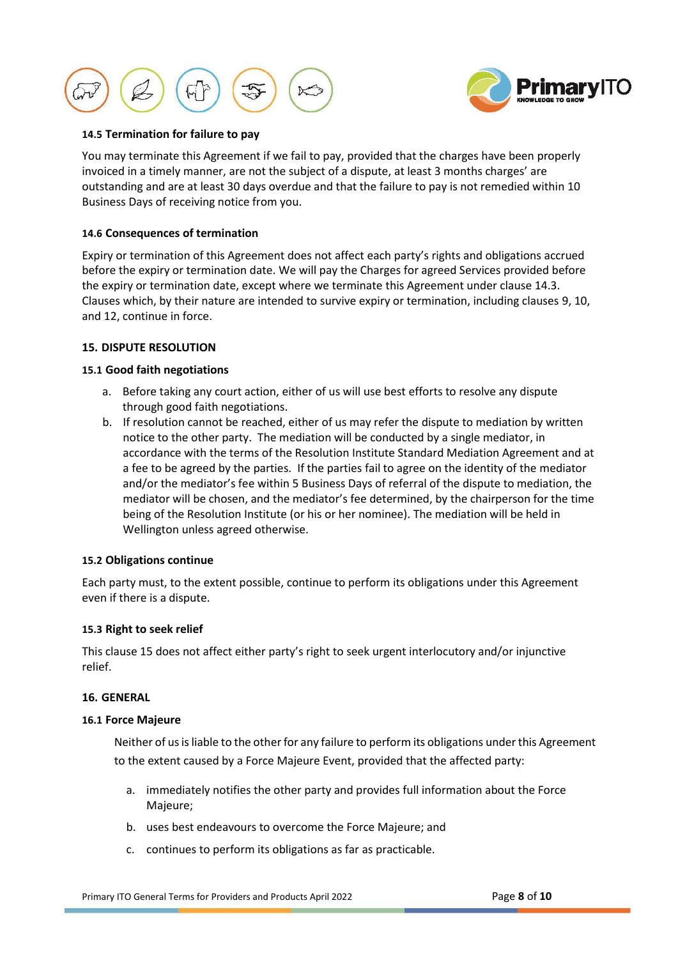



# **14.5 Termination for failure to pay**

You may terminate this Agreement if we fail to pay, provided that the charges have been properly invoiced in a timely manner, are not the subject of a dispute, at least 3 months charges' are outstanding and are at least 30 days overdue and that the failure to pay is not remedied within 10 Business Days of receiving notice from you.

## **14.6 Consequences of termination**

Expiry or termination of this Agreement does not affect each party's rights and obligations accrued before the expiry or termination date. We will pay the Charges for agreed Services provided before the expiry or termination date, except where we terminate this Agreement under claus[e 14.3.](#page-6-1) Clauses which, by their nature are intended to survive expiry or termination, including clauses [9,](#page-4-0) [10,](#page-4-1) and [12,](#page-5-2) continue in force.

## <span id="page-7-0"></span>**15. DISPUTE RESOLUTION**

## **15.1 Good faith negotiations**

- a. Before taking any court action, either of us will use best efforts to resolve any dispute through good faith negotiations.
- b. If resolution cannot be reached, either of us may refer the dispute to mediation by written notice to the other party. The mediation will be conducted by a single mediator, in accordance with the terms of the Resolution Institute Standard Mediation Agreement and at a fee to be agreed by the parties. If the parties fail to agree on the identity of the mediator and/or the mediator's fee within 5 Business Days of referral of the dispute to mediation, the mediator will be chosen, and the mediator's fee determined, by the chairperson for the time being of the Resolution Institute (or his or her nominee). The mediation will be held in Wellington unless agreed otherwise.

### **15.2 Obligations continue**

Each party must, to the extent possible, continue to perform its obligations under this Agreement even if there is a dispute.

### **15.3 Right to seek relief**

This clause [15](#page-7-0) does not affect either party's right to seek urgent interlocutory and/or injunctive relief.

## **16. GENERAL**

### **16.1 Force Majeure**

Neither of us is liable to the other for any failure to perform its obligations under this Agreement to the extent caused by a Force Majeure Event, provided that the affected party:

- a. immediately notifies the other party and provides full information about the Force Majeure;
- b. uses best endeavours to overcome the Force Majeure; and
- c. continues to perform its obligations as far as practicable.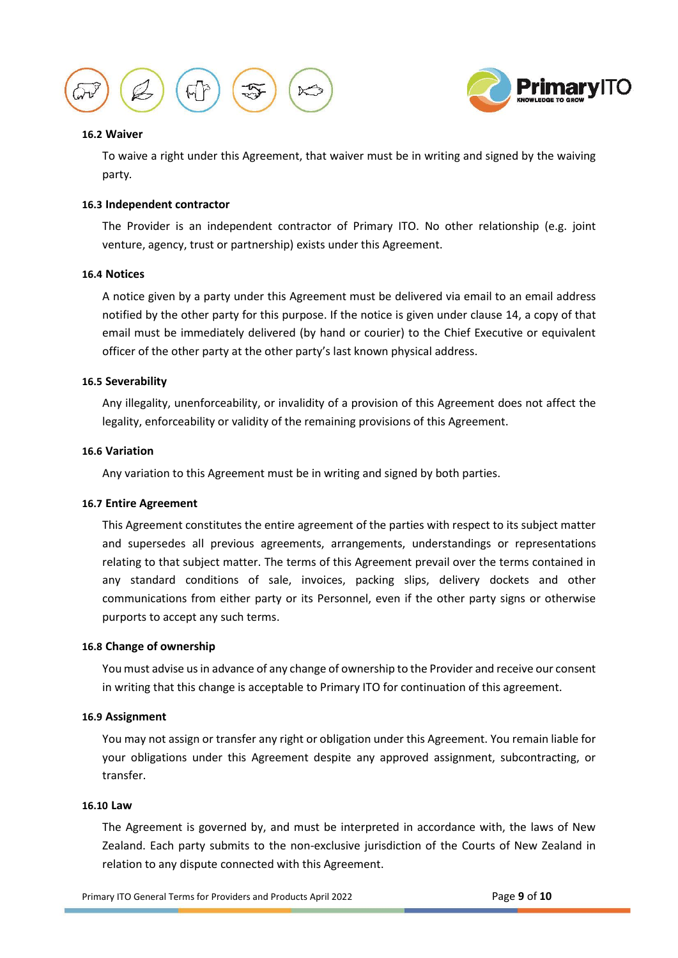



## **16.2 Waiver**

To waive a right under this Agreement, that waiver must be in writing and signed by the waiving party*.* 

## **16.3 Independent contractor**

The Provider is an independent contractor of Primary ITO. No other relationship (e.g. joint venture, agency, trust or partnership) exists under this Agreement.

### **16.4 Notices**

A notice given by a party under this Agreement must be delivered via email to an email address notified by the other party for this purpose. If the notice is given under clause 14, a copy of that email must be immediately delivered (by hand or courier) to the Chief Executive or equivalent officer of the other party at the other party's last known physical address.

### **16.5 Severability**

Any illegality, unenforceability, or invalidity of a provision of this Agreement does not affect the legality, enforceability or validity of the remaining provisions of this Agreement.

#### **16.6 Variation**

Any variation to this Agreement must be in writing and signed by both parties.

### **16.7 Entire Agreement**

This Agreement constitutes the entire agreement of the parties with respect to its subject matter and supersedes all previous agreements, arrangements, understandings or representations relating to that subject matter. The terms of this Agreement prevail over the terms contained in any standard conditions of sale, invoices, packing slips, delivery dockets and other communications from either party or its Personnel, even if the other party signs or otherwise purports to accept any such terms.

### **16.8 Change of ownership**

You must advise us in advance of any change of ownership to the Provider and receive our consent in writing that this change is acceptable to Primary ITO for continuation of this agreement.

# **16.9 Assignment**

You may not assign or transfer any right or obligation under this Agreement. You remain liable for your obligations under this Agreement despite any approved assignment, subcontracting, or transfer.

#### **16.10 Law**

The Agreement is governed by, and must be interpreted in accordance with, the laws of New Zealand. Each party submits to the non-exclusive jurisdiction of the Courts of New Zealand in relation to any dispute connected with this Agreement.